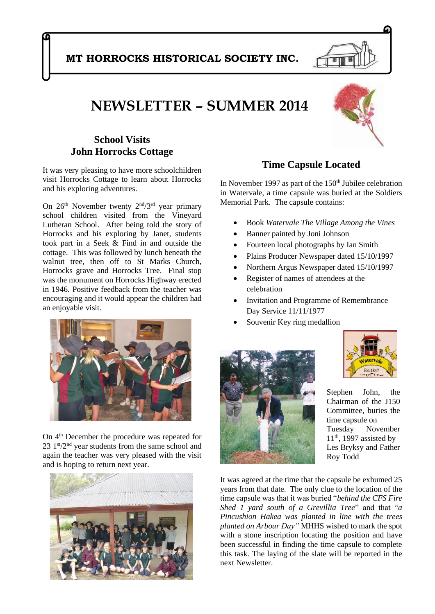## **MT HORROCKS HISTORICAL SOCIETY INC.**

# **NEWSLETTER – SUMMER 2014**

#### **School Visits John Horrocks Cottage**

It was very pleasing to have more schoolchildren visit Horrocks Cottage to learn about Horrocks and his exploring adventures.

On  $26<sup>th</sup>$  November twenty  $2<sup>nd</sup>/3<sup>rd</sup>$  year primary school children visited from the Vineyard Lutheran School. After being told the story of Horrocks and his exploring by Janet, students took part in a Seek & Find in and outside the cottage. This was followed by lunch beneath the walnut tree, then off to St Marks Church, Horrocks grave and Horrocks Tree. Final stop was the monument on Horrocks Highway erected in 1946. Positive feedback from the teacher was encouraging and it would appear the children had an enjoyable visit.



On  $4<sup>th</sup>$  December the procedure was repeated for  $23 \text{ 1}$ <sup>st</sup>/2<sup>nd</sup> year students from the same school and again the teacher was very pleased with the visit and is hoping to return next year.





#### **Time Capsule Located**

In November 1997 as part of the  $150<sup>th</sup>$  Jubilee celebration in Watervale, a time capsule was buried at the Soldiers Memorial Park. The capsule contains:

- Book *Watervale The Village Among the Vines*
- Banner painted by Joni Johnson
- Fourteen local photographs by Ian Smith
- Plains Producer Newspaper dated 15/10/1997
- Northern Argus Newspaper dated 15/10/1997
- Register of names of attendees at the celebration
- Invitation and Programme of Remembrance Day Service 11/11/1977
- Souvenir Key ring medallion





Stephen John, the Chairman of the J150 Committee, buries the time capsule on Tuesday November  $11<sup>th</sup>$ , 1997 assisted by Les Bryksy and Father Roy Todd

It was agreed at the time that the capsule be exhumed 25 years from that date. The only clue to the location of the time capsule was that it was buried "*behind the CFS Fire Shed 1 yard south of a Grevillia Tree*" and that "*a Pincushion Hakea was planted in line with the trees planted on Arbour Day"* MHHS wished to mark the spot with a stone inscription locating the position and have been successful in finding the time capsule to complete this task. The laying of the slate will be reported in the next Newsletter.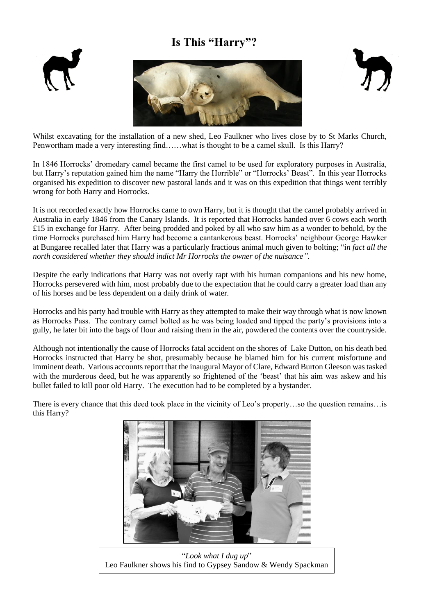## **Is This "Harry"?**







Whilst excavating for the installation of a new shed, Leo Faulkner who lives close by to St Marks Church, Penwortham made a very interesting find……what is thought to be a camel skull. Is this Harry?

In 1846 Horrocks' dromedary camel became the first camel to be used for exploratory purposes in Australia, but Harry's reputation gained him the name "Harry the Horrible" or "Horrocks' Beast". In this year Horrocks organised his expedition to discover new pastoral lands and it was on this expedition that things went terribly wrong for both Harry and Horrocks.

It is not recorded exactly how Horrocks came to own Harry, but it is thought that the camel probably arrived in Australia in early 1846 from the Canary Islands. It is reported that Horrocks handed over 6 cows each worth £15 in exchange for Harry. After being prodded and poked by all who saw him as a wonder to behold, by the time Horrocks purchased him Harry had become a cantankerous beast. Horrocks' neighbour George Hawker at Bungaree recalled later that Harry was a particularly fractious animal much given to bolting; "i*n fact all the north considered whether they should indict Mr Horrocks the owner of the nuisance".*

Despite the early indications that Harry was not overly rapt with his human companions and his new home, Horrocks persevered with him, most probably due to the expectation that he could carry a greater load than any of his horses and be less dependent on a daily drink of water.

Horrocks and his party had trouble with Harry as they attempted to make their way through what is now known as Horrocks Pass. The contrary camel bolted as he was being loaded and tipped the party's provisions into a gully, he later bit into the bags of flour and raising them in the air, powdered the contents over the countryside.

Although not intentionally the cause of Horrocks fatal accident on the shores of Lake Dutton, on his death bed Horrocks instructed that Harry be shot, presumably because he blamed him for his current misfortune and imminent death. Various accounts report that the inaugural Mayor of Clare, Edward Burton Gleeson was tasked with the murderous deed, but he was apparently so frightened of the 'beast' that his aim was askew and his bullet failed to kill poor old Harry. The execution had to be completed by a bystander.

There is every chance that this deed took place in the vicinity of Leo's property…so the question remains…is this Harry?



"*Look what I dug up*" Leo Faulkner shows his find to Gypsey Sandow & Wendy Spackman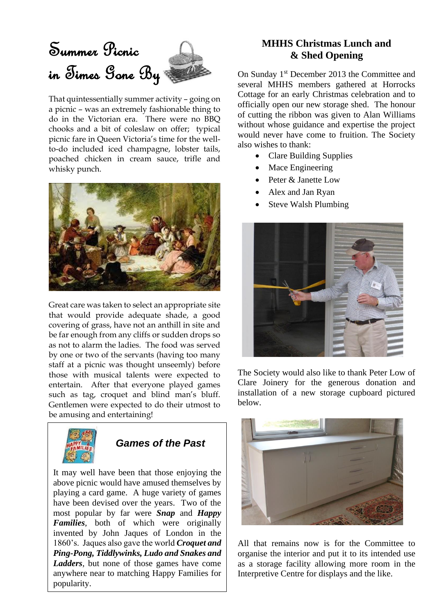# Summer Picnic in Times Gone By

That quintessentially summer activity – going on a picnic – was an extremely fashionable thing to do in the Victorian era. There were no BBQ chooks and a bit of coleslaw on offer; typical picnic fare in Queen Victoria's time for the wellto-do included iced champagne, lobster tails, poached chicken in cream sauce, trifle and whisky punch.



Great care was taken to select an appropriate site that would provide adequate shade, a good covering of grass, have not an anthill in site and be far enough from any cliffs or sudden drops so as not to alarm the ladies. The food was served by one or two of the servants (having too many staff at a picnic was thought unseemly) before those with musical talents were expected to entertain. After that everyone played games such as tag, croquet and blind man's bluff. Gentlemen were expected to do their utmost to be amusing and entertaining!



# *Games of the Past*

It may well have been that those enjoying the above picnic would have amused themselves by playing a card game. A huge variety of games have been devised over the years. Two of the most popular by far were *Snap* and *Happy Families*, both of which were originally invented by John Jaques of London in the 1860's. Jaques also gave the world *Croquet and Ping-Pong, Tiddlywinks, Ludo and Snakes and Ladders*, but none of those games have come anywhere near to matching Happy Families for popularity.

#### **MHHS Christmas Lunch and & Shed Opening**

On Sunday 1<sup>st</sup> December 2013 the Committee and several MHHS members gathered at Horrocks Cottage for an early Christmas celebration and to officially open our new storage shed. The honour of cutting the ribbon was given to Alan Williams without whose guidance and expertise the project would never have come to fruition. The Society also wishes to thank:

- Clare Building Supplies
- Mace Engineering
- Peter & Janette Low
- Alex and Jan Ryan
- Steve Walsh Plumbing



The Society would also like to thank Peter Low of Clare Joinery for the generous donation and installation of a new storage cupboard pictured below.



All that remains now is for the Committee to organise the interior and put it to its intended use as a storage facility allowing more room in the Interpretive Centre for displays and the like.